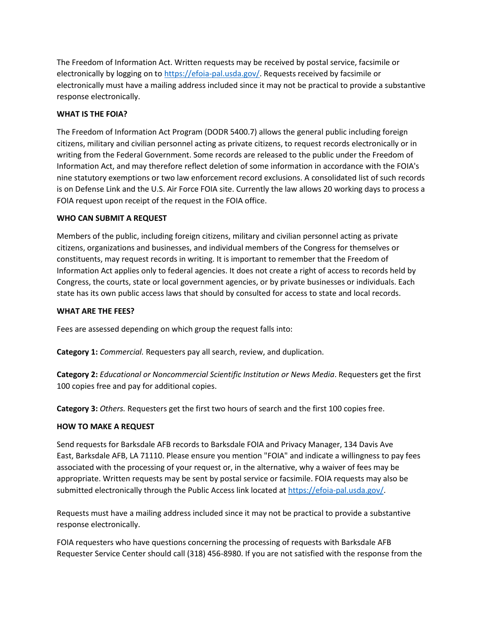The Freedom of Information Act. Written requests may be received by postal service, facsimile or electronically by logging on to [https://efoia-pal.usda.gov/.](https://efoia-pal.usda.gov/) Requests received by facsimile or electronically must have a mailing address included since it may not be practical to provide a substantive response electronically.

# **WHAT IS THE FOIA?**

The Freedom of Information Act Program (DODR 5400.7) allows the general public including foreign citizens, military and civilian personnel acting as private citizens, to request records electronically or in writing from the Federal Government. Some records are released to the public under the Freedom of Information Act, and may therefore reflect deletion of some information in accordance with the FOIA's nine statutory exemptions or two law enforcement record exclusions. A consolidated list of such records is on Defense Link and the U.S. Air Force FOIA site. Currently the law allows 20 working days to process a FOIA request upon receipt of the request in the FOIA office.

# **WHO CAN SUBMIT A REQUEST**

Members of the public, including foreign citizens, military and civilian personnel acting as private citizens, organizations and businesses, and individual members of the Congress for themselves or constituents, may request records in writing. It is important to remember that the Freedom of Information Act applies only to federal agencies. It does not create a right of access to records held by Congress, the courts, state or local government agencies, or by private businesses or individuals. Each state has its own public access laws that should by consulted for access to state and local records.

## **WHAT ARE THE FEES?**

Fees are assessed depending on which group the request falls into:

**Category 1:** *Commercial.* Requesters pay all search, review, and duplication.

**Category 2:** *Educational or Noncommercial Scientific Institution or News Media*. Requesters get the first 100 copies free and pay for additional copies.

**Category 3:** *Others.* Requesters get the first two hours of search and the first 100 copies free.

## **HOW TO MAKE A REQUEST**

Send requests for Barksdale AFB records to Barksdale FOIA and Privacy Manager, 134 Davis Ave East, Barksdale AFB, LA 71110. Please ensure you mention "FOIA" and indicate a willingness to pay fees associated with the processing of your request or, in the alternative, why a waiver of fees may be appropriate. Written requests may be sent by postal service or facsimile. FOIA requests may also be submitted electronically through the Public Access link located at [https://efoia-pal.usda.gov/.](https://efoia-pal.usda.gov/)

Requests must have a mailing address included since it may not be practical to provide a substantive response electronically.

FOIA requesters who have questions concerning the processing of requests with Barksdale AFB Requester Service Center should call (318) 456-8980. If you are not satisfied with the response from the